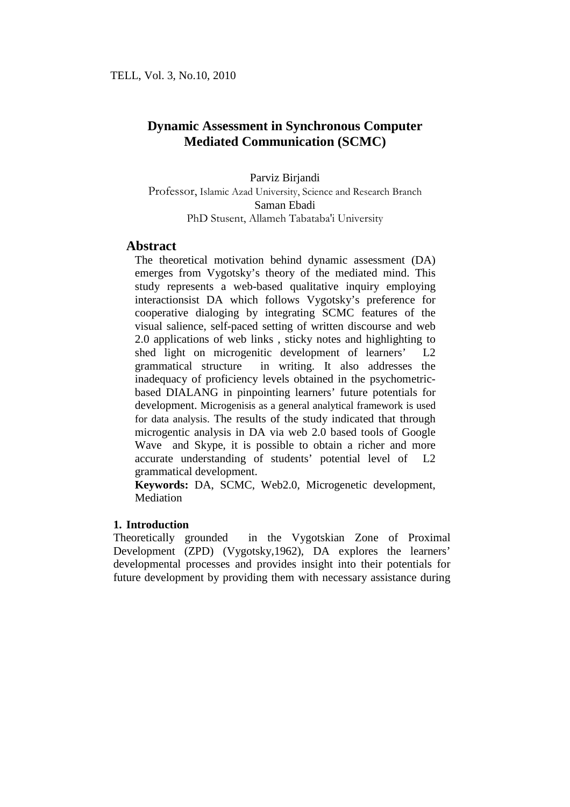Parviz Birjandi Professor, Islamic Azad University, Science and Research Branch Saman Ebadi PhD Stusent, Allameh Tabataba'i University

# **Abstract**

The theoretical motivation behind dynamic assessment (DA) emerges from Vygotsky's theory of the mediated mind. This study represents a web-based qualitative inquiry employing interactionsist DA which follows Vygotsky's preference for cooperative dialoging by integrating SCMC features of the visual salience, self-paced setting of written discourse and web 2.0 applications of web links , sticky notes and highlighting to shed light on microgenitic development of learners' L2 grammatical structure in writing. It also addresses the inadequacy of proficiency levels obtained in the psychometricbased DIALANG in pinpointing learners' future potentials for development. Microgenisis as a general analytical framework is used for data analysis. The results of the study indicated that through microgentic analysis in DA via web 2.0 based tools of Google Wave and Skype, it is possible to obtain a richer and more accurate understanding of students' potential level of L2 grammatical development.

**Keywords:** DA, SCMC, Web2.0, Microgenetic development, **Mediation** 

# **1. Introduction**

Theoretically grounded in the Vygotskian Zone of Proximal Development (ZPD) (Vygotsky,1962), DA explores the learners' developmental processes and provides insight into their potentials for future development by providing them with necessary assistance during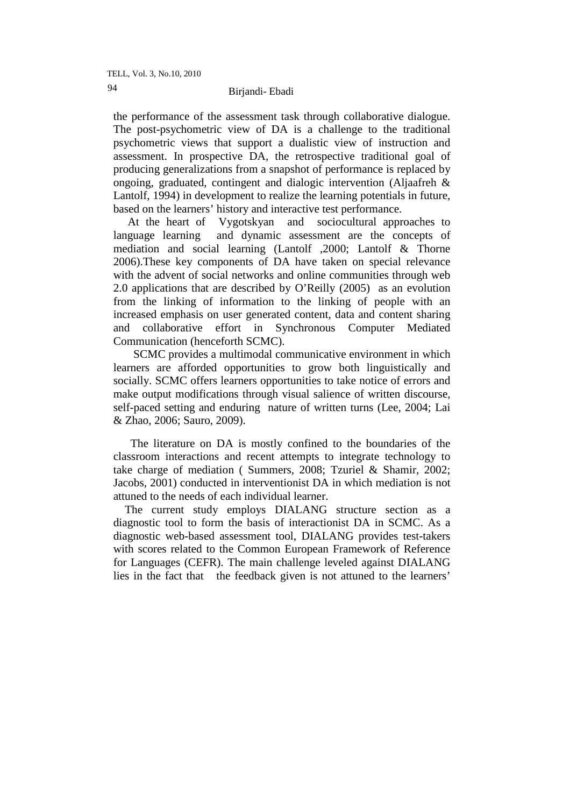the performance of the assessment task through collaborative dialogue. The post-psychometric view of DA is a challenge to the traditional psychometric views that support a dualistic view of instruction and assessment. In prospective DA, the retrospective traditional goal of producing generalizations from a snapshot of performance is replaced by ongoing, graduated, contingent and dialogic intervention (Aljaafreh & Lantolf, 1994) in development to realize the learning potentials in future, based on the learners' history and interactive test performance.

 At the heart of Vygotskyan and sociocultural approaches to language learning and dynamic assessment are the concepts of mediation and social learning (Lantolf ,2000; Lantolf & Thorne 2006).These key components of DA have taken on special relevance with the advent of social networks and online communities through web 2.0 applications that are described by O'Reilly (2005) as an evolution from the linking of information to the linking of people with an increased emphasis on user generated content, data and content sharing and collaborative effort in Synchronous Computer Mediated Communication (henceforth SCMC).

 SCMC provides a multimodal communicative environment in which learners are afforded opportunities to grow both linguistically and socially. SCMC offers learners opportunities to take notice of errors and make output modifications through visual salience of written discourse, self-paced setting and enduring nature of written turns (Lee, 2004; Lai & Zhao, 2006; Sauro, 2009).

 The literature on DA is mostly confined to the boundaries of the classroom interactions and recent attempts to integrate technology to take charge of mediation ( Summers, 2008; Tzuriel & Shamir, 2002; Jacobs, 2001) conducted in interventionist DA in which mediation is not attuned to the needs of each individual learner.

 The current study employs DIALANG structure section as a diagnostic tool to form the basis of interactionist DA in SCMC. As a diagnostic web-based assessment tool, DIALANG provides test-takers with scores related to the Common European Framework of Reference for Languages (CEFR). The main challenge leveled against DIALANG lies in the fact that the feedback given is not attuned to the learners'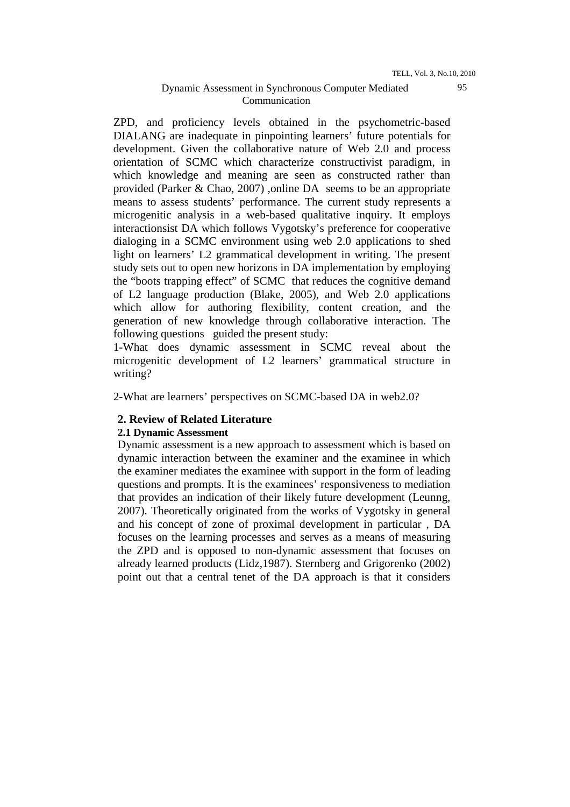ZPD, and proficiency levels obtained in the psychometric-based DIALANG are inadequate in pinpointing learners' future potentials for development. Given the collaborative nature of Web 2.0 and process orientation of SCMC which characterize constructivist paradigm, in which knowledge and meaning are seen as constructed rather than provided (Parker & Chao, 2007) ,online DA seems to be an appropriate means to assess students' performance. The current study represents a microgenitic analysis in a web-based qualitative inquiry. It employs interactionsist DA which follows Vygotsky's preference for cooperative dialoging in a SCMC environment using web 2.0 applications to shed light on learners' L2 grammatical development in writing. The present study sets out to open new horizons in DA implementation by employing the "boots trapping effect" of SCMC that reduces the cognitive demand of L2 language production (Blake, 2005), and Web 2.0 applications which allow for authoring flexibility, content creation, and the generation of new knowledge through collaborative interaction. The following questions guided the present study:

1-What does dynamic assessment in SCMC reveal about the microgenitic development of L2 learners' grammatical structure in writing?

2-What are learners' perspectives on SCMC-based DA in web2.0?

### **2. Review of Related Literature**

### **2.1 Dynamic Assessment**

Dynamic assessment is a new approach to assessment which is based on dynamic interaction between the examiner and the examinee in which the examiner mediates the examinee with support in the form of leading questions and prompts. It is the examinees' responsiveness to mediation that provides an indication of their likely future development (Leunng, 2007). Theoretically originated from the works of Vygotsky in general and his concept of zone of proximal development in particular , DA focuses on the learning processes and serves as a means of measuring the ZPD and is opposed to non-dynamic assessment that focuses on already learned products (Lidz,1987). Sternberg and Grigorenko (2002) point out that a central tenet of the DA approach is that it considers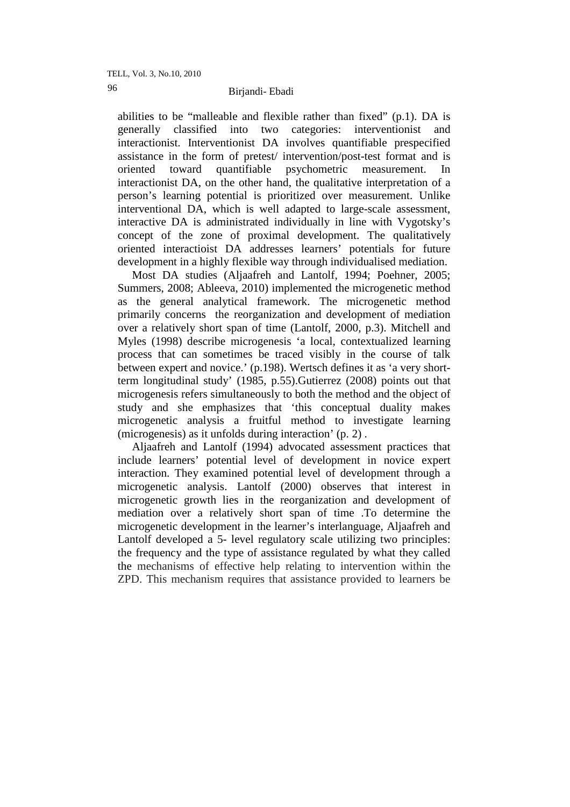# Birjandi- Ebadi 96

abilities to be "malleable and flexible rather than fixed" (p.1). DA is generally classified into two categories: interventionist and interactionist. Interventionist DA involves quantifiable prespecified assistance in the form of pretest/ intervention/post-test format and is oriented toward quantifiable psychometric measurement. interactionist DA, on the other hand, the qualitative interpretation of a person's learning potential is prioritized over measurement. Unlike interventional DA, which is well adapted to large-scale assessment, interactive DA is administrated individually in line with Vygotsky's concept of the zone of proximal development. The qualitatively oriented interactioist DA addresses learners' potentials for future development in a highly flexible way through individualised mediation.

 Most DA studies (Aljaafreh and Lantolf, 1994; Poehner, 2005; Summers, 2008; Ableeva, 2010) implemented the microgenetic method as the general analytical framework. The microgenetic method primarily concerns the reorganization and development of mediation over a relatively short span of time (Lantolf, 2000, p.3). Mitchell and Myles (1998) describe microgenesis 'a local, contextualized learning process that can sometimes be traced visibly in the course of talk between expert and novice.' (p.198). Wertsch defines it as 'a very shortterm longitudinal study' (1985, p.55).Gutierrez (2008) points out that microgenesis refers simultaneously to both the method and the object of study and she emphasizes that 'this conceptual duality makes microgenetic analysis a fruitful method to investigate learning (microgenesis) as it unfolds during interaction' (p. 2) .

 Aljaafreh and Lantolf (1994) advocated assessment practices that include learners' potential level of development in novice expert interaction. They examined potential level of development through a microgenetic analysis. Lantolf (2000) observes that interest in microgenetic growth lies in the reorganization and development of mediation over a relatively short span of time .To determine the microgenetic development in the learner's interlanguage, Aljaafreh and Lantolf developed a 5- level regulatory scale utilizing two principles: the frequency and the type of assistance regulated by what they called the mechanisms of effective help relating to intervention within the ZPD. This mechanism requires that assistance provided to learners be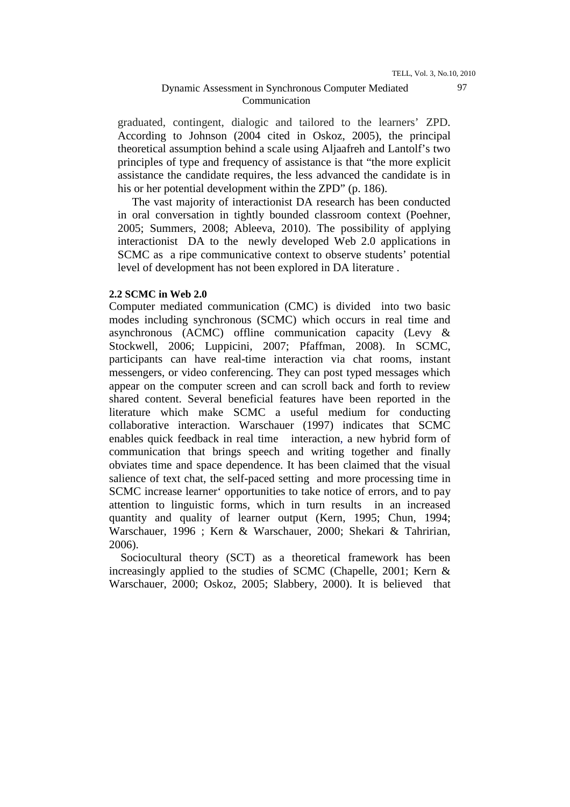graduated, contingent, dialogic and tailored to the learners' ZPD. According to Johnson (2004 cited in Oskoz, 2005), the principal theoretical assumption behind a scale using Aljaafreh and Lantolf's two principles of type and frequency of assistance is that "the more explicit assistance the candidate requires, the less advanced the candidate is in his or her potential development within the ZPD" (p. 186).

 The vast majority of interactionist DA research has been conducted in oral conversation in tightly bounded classroom context (Poehner, 2005; Summers, 2008; Ableeva, 2010). The possibility of applying interactionist DA to the newly developed Web 2.0 applications in SCMC as a ripe communicative context to observe students' potential level of development has not been explored in DA literature .

### **2.2 SCMC in Web 2.0**

Computer mediated communication (CMC) is divided into two basic modes including synchronous (SCMC) which occurs in real time and asynchronous (ACMC) offline communication capacity (Levy & Stockwell, 2006; Luppicini, 2007; Pfaffman, 2008). In SCMC, participants can have real-time interaction via chat rooms, instant messengers, or video conferencing. They can post typed messages which appear on the computer screen and can scroll back and forth to review shared content. Several beneficial features have been reported in the literature which make SCMC a useful medium for conducting collaborative interaction. Warschauer (1997) indicates that SCMC enables quick feedback in real time interaction, a new hybrid form of communication that brings speech and writing together and finally obviates time and space dependence. It has been claimed that the visual salience of text chat, the self-paced setting and more processing time in SCMC increase learner' opportunities to take notice of errors, and to pay attention to linguistic forms, which in turn results in an increased quantity and quality of learner output (Kern, 1995; Chun, 1994; Warschauer, 1996 ; Kern & Warschauer, 2000; Shekari & Tahririan, 2006).

 Sociocultural theory (SCT) as a theoretical framework has been increasingly applied to the studies of SCMC (Chapelle, 2001; Kern & Warschauer, 2000; Oskoz, 2005; Slabbery, 2000). It is believed that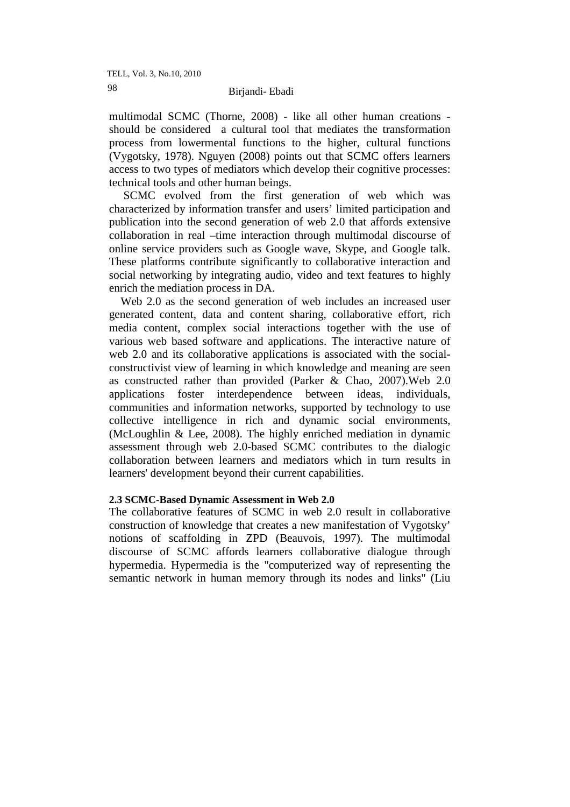multimodal SCMC (Thorne, 2008) - like all other human creations should be considered a cultural tool that mediates the transformation process from lowermental functions to the higher, cultural functions (Vygotsky, 1978). Nguyen (2008) points out that SCMC offers learners access to two types of mediators which develop their cognitive processes: technical tools and other human beings.

 SCMC evolved from the first generation of web which was characterized by information transfer and users' limited participation and publication into the second generation of web 2.0 that affords extensive collaboration in real –time interaction through multimodal discourse of online service providers such as Google wave, Skype, and Google talk. These platforms contribute significantly to collaborative interaction and social networking by integrating audio, video and text features to highly enrich the mediation process in DA.

 Web 2.0 as the second generation of web includes an increased user generated content, data and content sharing, collaborative effort, rich media content, complex social interactions together with the use of various web based software and applications. The interactive nature of web 2.0 and its collaborative applications is associated with the socialconstructivist view of learning in which knowledge and meaning are seen as constructed rather than provided (Parker & Chao, 2007).Web 2.0 applications foster interdependence between ideas, individuals, communities and information networks, supported by technology to use collective intelligence in rich and dynamic social environments, (McLoughlin & Lee, 2008). The highly enriched mediation in dynamic assessment through web 2.0-based SCMC contributes to the dialogic collaboration between learners and mediators which in turn results in learners' development beyond their current capabilities.

### **2.3 SCMC-Based Dynamic Assessment in Web 2.0**

The collaborative features of SCMC in web 2.0 result in collaborative construction of knowledge that creates a new manifestation of Vygotsky' notions of scaffolding in ZPD (Beauvois, 1997). The multimodal discourse of SCMC affords learners collaborative dialogue through hypermedia. Hypermedia is the "computerized way of representing the semantic network in human memory through its nodes and links" (Liu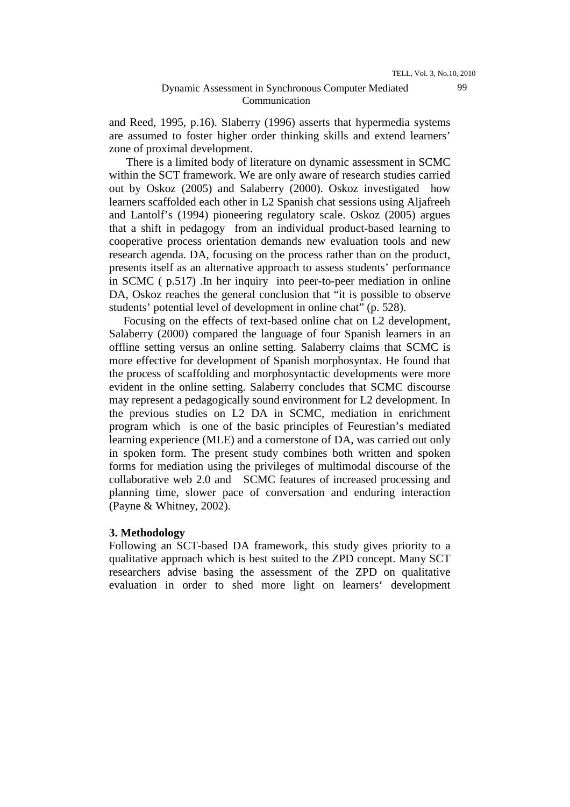and Reed, 1995, p.16). Slaberry (1996) asserts that hypermedia systems are assumed to foster higher order thinking skills and extend learners' zone of proximal development.

 There is a limited body of literature on dynamic assessment in SCMC within the SCT framework. We are only aware of research studies carried out by Oskoz (2005) and Salaberry (2000). Oskoz investigated how learners scaffolded each other in L2 Spanish chat sessions using Aljafreeh and Lantolf's (1994) pioneering regulatory scale. Oskoz (2005) argues that a shift in pedagogy from an individual product-based learning to cooperative process orientation demands new evaluation tools and new research agenda. DA, focusing on the process rather than on the product, presents itself as an alternative approach to assess students' performance in SCMC ( p.517) .In her inquiry into peer-to-peer mediation in online DA, Oskoz reaches the general conclusion that "it is possible to observe students' potential level of development in online chat" (p. 528).

 Focusing on the effects of text-based online chat on L2 development, Salaberry (2000) compared the language of four Spanish learners in an offline setting versus an online setting. Salaberry claims that SCMC is more effective for development of Spanish morphosyntax. He found that the process of scaffolding and morphosyntactic developments were more evident in the online setting. Salaberry concludes that SCMC discourse may represent a pedagogically sound environment for L2 development. In the previous studies on L2 DA in SCMC, mediation in enrichment program which is one of the basic principles of Feurestian's mediated learning experience (MLE) and a cornerstone of DA, was carried out only in spoken form. The present study combines both written and spoken forms for mediation using the privileges of multimodal discourse of the collaborative web 2.0 and SCMC features of increased processing and planning time, slower pace of conversation and enduring interaction (Payne & Whitney, 2002).

### **3. Methodology**

Following an SCT-based DA framework, this study gives priority to a qualitative approach which is best suited to the ZPD concept. Many SCT researchers advise basing the assessment of the ZPD on qualitative evaluation in order to shed more light on learners' development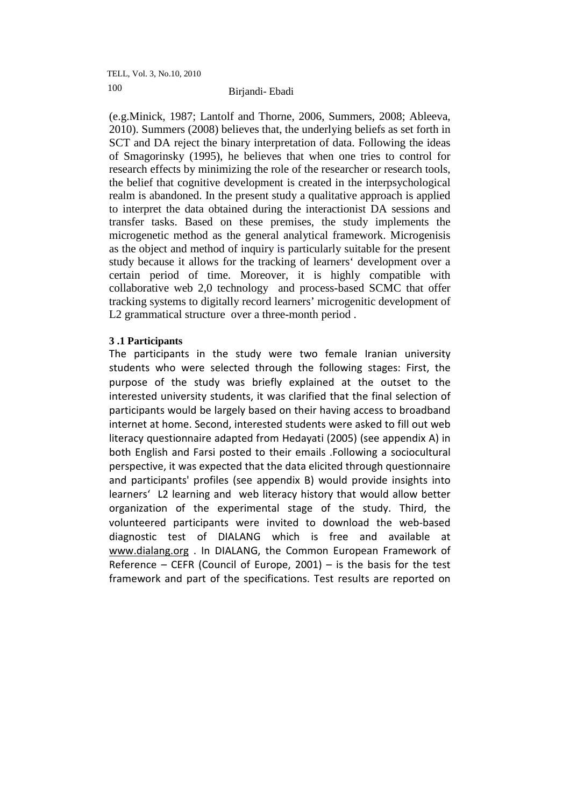(e.g.Minick, 1987; Lantolf and Thorne, 2006, Summers, 2008; Ableeva, 2010). Summers (2008) believes that, the underlying beliefs as set forth in SCT and DA reject the binary interpretation of data. Following the ideas of Smagorinsky (1995), he believes that when one tries to control for research effects by minimizing the role of the researcher or research tools, the belief that cognitive development is created in the interpsychological realm is abandoned. In the present study a qualitative approach is applied to interpret the data obtained during the interactionist DA sessions and transfer tasks. Based on these premises, the study implements the microgenetic method as the general analytical framework. Microgenisis as the object and method of inquiry is particularly suitable for the present study because it allows for the tracking of learners' development over a certain period of time. Moreover, it is highly compatible with collaborative web 2,0 technology and process-based SCMC that offer tracking systems to digitally record learners' microgenitic development of L2 grammatical structure over a three-month period .

# **3 .1 Participants**

The participants in the study were two female Iranian university students who were selected through the following stages: First, the purpose of the study was briefly explained at the outset to the interested university students, it was clarified that the final selection of participants would be largely based on their having access to broadband internet at home. Second, interested students were asked to fill out web literacy questionnaire adapted from Hedayati (2005) (see appendix A) in both English and Farsi posted to their emails .Following a sociocultural perspective, it was expected that the data elicited through questionnaire and participants' profiles (see appendix B) would provide insights into learners' L2 learning and web literacy history that would allow better organization of the experimental stage of the study. Third, the volunteered participants were invited to download the web-based diagnostic test of DIALANG which is free and available at www.dialang.org . In DIALANG, the Common European Framework of Reference – CEFR (Council of Europe, 2001) – is the basis for the test framework and part of the specifications. Test results are reported on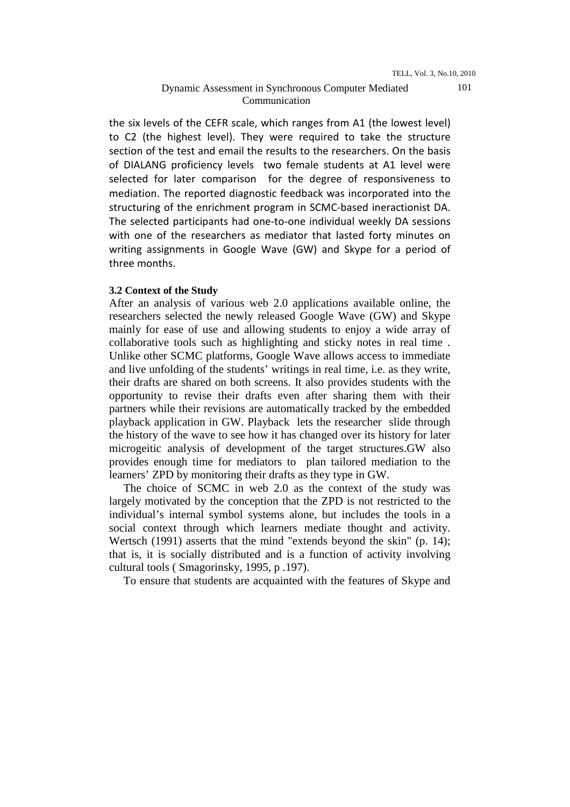the six levels of the CEFR scale, which ranges from A1 (the lowest level) to C2 (the highest level). They were required to take the structure section of the test and email the results to the researchers. On the basis of DIALANG proficiency levels two female students at A1 level were selected for later comparison for the degree of responsiveness to mediation. The reported diagnostic feedback was incorporated into the structuring of the enrichment program in SCMC-based ineractionist DA. The selected participants had one-to-one individual weekly DA sessions with one of the researchers as mediator that lasted forty minutes on writing assignments in Google Wave (GW) and Skype for a period of three months.

### **3.2 Context of the Study**

After an analysis of various web 2.0 applications available online, the researchers selected the newly released Google Wave (GW) and Skype mainly for ease of use and allowing students to enjoy a wide array of collaborative tools such as highlighting and sticky notes in real time . Unlike other SCMC platforms, Google Wave allows access to immediate and live unfolding of the students' writings in real time, i.e. as they write, their drafts are shared on both screens. It also provides students with the opportunity to revise their drafts even after sharing them with their partners while their revisions are automatically tracked by the embedded playback application in GW. Playback lets the researcher slide through the history of the wave to see how it has changed over its history for later microgeitic analysis of development of the target structures.GW also provides enough time for mediators to plan tailored mediation to the learners' ZPD by monitoring their drafts as they type in GW.

 The choice of SCMC in web 2.0 as the context of the study was largely motivated by the conception that the ZPD is not restricted to the individual's internal symbol systems alone, but includes the tools in a social context through which learners mediate thought and activity. Wertsch (1991) asserts that the mind "extends beyond the skin" (p. 14); that is, it is socially distributed and is a function of activity involving cultural tools ( Smagorinsky, 1995, p .197).

To ensure that students are acquainted with the features of Skype and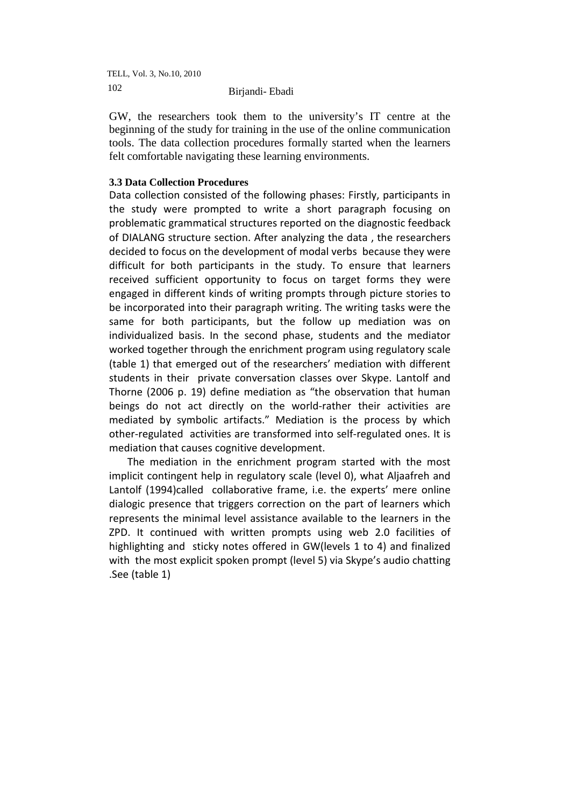GW, the researchers took them to the university's IT centre at the beginning of the study for training in the use of the online communication tools. The data collection procedures formally started when the learners felt comfortable navigating these learning environments.

# **3.3 Data Collection Procedures**

Data collection consisted of the following phases: Firstly, participants in the study were prompted to write a short paragraph focusing on problematic grammatical structures reported on the diagnostic feedback of DIALANG structure section. After analyzing the data , the researchers decided to focus on the development of modal verbs because they were difficult for both participants in the study. To ensure that learners received sufficient opportunity to focus on target forms they were engaged in different kinds of writing prompts through picture stories to be incorporated into their paragraph writing. The writing tasks were the same for both participants, but the follow up mediation was on individualized basis. In the second phase, students and the mediator worked together through the enrichment program using regulatory scale (table 1) that emerged out of the researchers' mediation with different students in their private conversation classes over Skype. Lantolf and Thorne (2006 p. 19) define mediation as "the observation that human beings do not act directly on the world-rather their activities are mediated by symbolic artifacts." Mediation is the process by which other-regulated activities are transformed into self-regulated ones. It is mediation that causes cognitive development.

 The mediation in the enrichment program started with the most implicit contingent help in regulatory scale (level 0), what Aljaafreh and Lantolf (1994)called collaborative frame, i.e. the experts' mere online dialogic presence that triggers correction on the part of learners which represents the minimal level assistance available to the learners in the ZPD. It continued with written prompts using web 2.0 facilities of highlighting and sticky notes offered in GW(levels 1 to 4) and finalized with the most explicit spoken prompt (level 5) via Skype's audio chatting .See (table 1)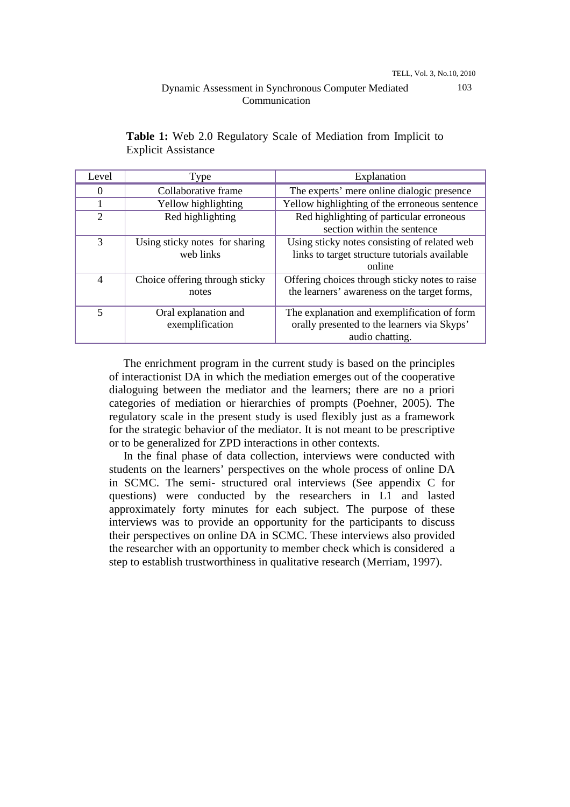# Dynamic Assessment in Synchronous Computer Mediated Communication

| Level          | Type                                                                                        | Explanation                                                                                                   |  |  |
|----------------|---------------------------------------------------------------------------------------------|---------------------------------------------------------------------------------------------------------------|--|--|
| $\Omega$       | Collaborative frame                                                                         | The experts' mere online dialogic presence                                                                    |  |  |
|                | Yellow highlighting                                                                         | Yellow highlighting of the erroneous sentence                                                                 |  |  |
| $\overline{2}$ | Red highlighting<br>Red highlighting of particular erroneous<br>section within the sentence |                                                                                                               |  |  |
| 3              | Using sticky notes for sharing<br>web links                                                 | Using sticky notes consisting of related web<br>links to target structure tutorials available<br>online       |  |  |
| $\overline{4}$ | Choice offering through sticky<br>notes                                                     | Offering choices through sticky notes to raise<br>the learners' awareness on the target forms,                |  |  |
| 5              | Oral explanation and<br>exemplification                                                     | The explanation and exemplification of form<br>orally presented to the learners via Skyps'<br>audio chatting. |  |  |

**Table 1:** Web 2.0 Regulatory Scale of Mediation from Implicit to Explicit Assistance

 The enrichment program in the current study is based on the principles of interactionist DA in which the mediation emerges out of the cooperative dialoguing between the mediator and the learners; there are no a priori categories of mediation or hierarchies of prompts (Poehner, 2005). The regulatory scale in the present study is used flexibly just as a framework for the strategic behavior of the mediator. It is not meant to be prescriptive or to be generalized for ZPD interactions in other contexts.

 In the final phase of data collection, interviews were conducted with students on the learners' perspectives on the whole process of online DA in SCMC. The semi- structured oral interviews (See appendix C for questions) were conducted by the researchers in L1 and lasted approximately forty minutes for each subject. The purpose of these interviews was to provide an opportunity for the participants to discuss their perspectives on online DA in SCMC. These interviews also provided the researcher with an opportunity to member check which is considered a step to establish trustworthiness in qualitative research (Merriam, 1997).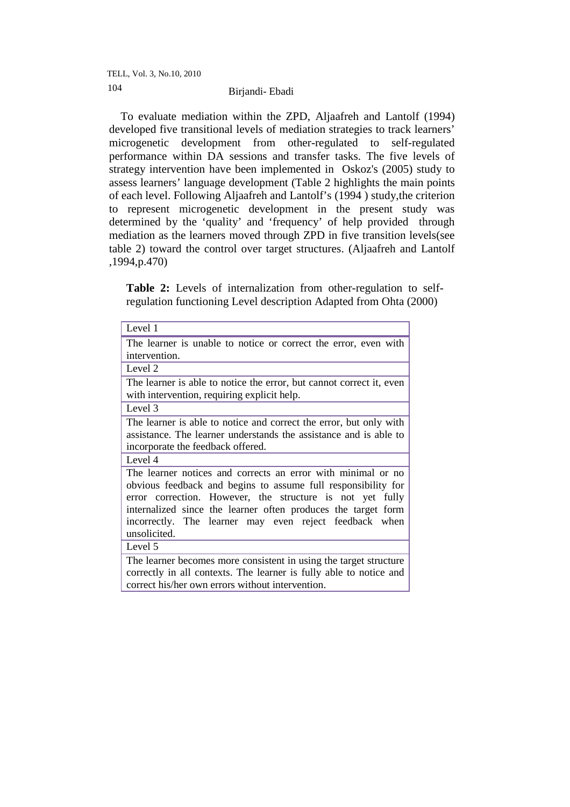To evaluate mediation within the ZPD, Aljaafreh and Lantolf (1994) developed five transitional levels of mediation strategies to track learners' microgenetic development from other-regulated to self-regulated performance within DA sessions and transfer tasks. The five levels of strategy intervention have been implemented in Oskoz's (2005) study to assess learners' language development (Table 2 highlights the main points of each level. Following Aljaafreh and Lantolf's (1994 ) study,the criterion to represent microgenetic development in the present study was determined by the 'quality' and 'frequency' of help provided through mediation as the learners moved through ZPD in five transition levels(see table 2) toward the control over target structures. (Aljaafreh and Lantolf ,1994,p.470)

Table 2: Levels of internalization from other-regulation to selfregulation functioning Level description Adapted from Ohta (2000)

| Level 1                                                              |  |  |  |
|----------------------------------------------------------------------|--|--|--|
| The learner is unable to notice or correct the error, even with      |  |  |  |
| intervention.                                                        |  |  |  |
| Level 2                                                              |  |  |  |
| The learner is able to notice the error, but cannot correct it, even |  |  |  |
| with intervention, requiring explicit help.                          |  |  |  |
| Level 3                                                              |  |  |  |
| The learner is able to notice and correct the error, but only with   |  |  |  |
| assistance. The learner understands the assistance and is able to    |  |  |  |
| incorporate the feedback offered.                                    |  |  |  |
| Level 4                                                              |  |  |  |
| The learner notices and corrects an error with minimal or no         |  |  |  |
| obvious feedback and begins to assume full responsibility for        |  |  |  |
| error correction. However, the structure is not yet fully            |  |  |  |
| internalized since the learner often produces the target form        |  |  |  |
| incorrectly. The learner may even reject feedback when               |  |  |  |
| unsolicited.                                                         |  |  |  |
| Level 5                                                              |  |  |  |
| The learner becomes more consistent in using the target structure    |  |  |  |
| correctly in all contexts. The learner is fully able to notice and   |  |  |  |
| correct his/her own errors without intervention.                     |  |  |  |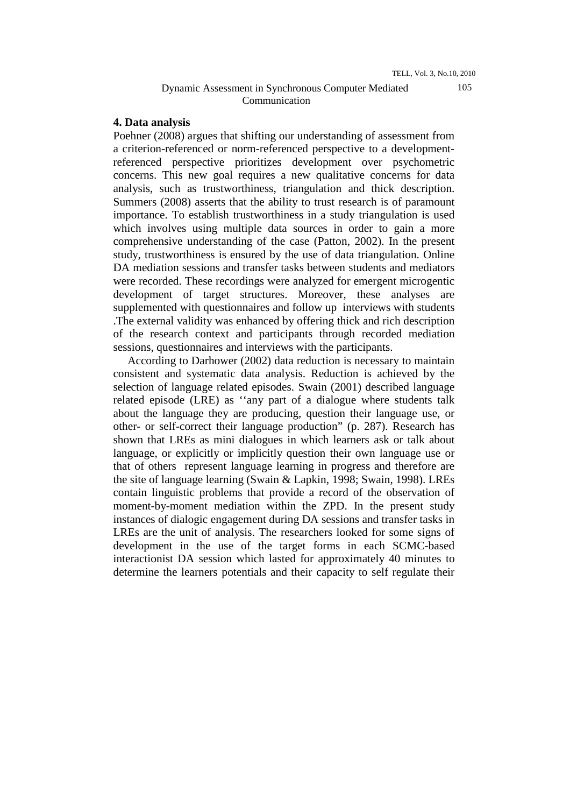## Dynamic Assessment in Synchronous Computer Mediated Communication

## **4. Data analysis**

Poehner (2008) argues that shifting our understanding of assessment from a criterion-referenced or norm-referenced perspective to a developmentreferenced perspective prioritizes development over psychometric concerns. This new goal requires a new qualitative concerns for data analysis, such as trustworthiness, triangulation and thick description. Summers (2008) asserts that the ability to trust research is of paramount importance. To establish trustworthiness in a study triangulation is used which involves using multiple data sources in order to gain a more comprehensive understanding of the case (Patton, 2002). In the present study, trustworthiness is ensured by the use of data triangulation. Online DA mediation sessions and transfer tasks between students and mediators were recorded. These recordings were analyzed for emergent microgentic development of target structures. Moreover, these analyses are supplemented with questionnaires and follow up interviews with students .The external validity was enhanced by offering thick and rich description of the research context and participants through recorded mediation sessions, questionnaires and interviews with the participants.

 According to Darhower (2002) data reduction is necessary to maintain consistent and systematic data analysis. Reduction is achieved by the selection of language related episodes. Swain (2001) described language related episode (LRE) as ''any part of a dialogue where students talk about the language they are producing, question their language use, or other- or self-correct their language production" (p. 287). Research has shown that LREs as mini dialogues in which learners ask or talk about language, or explicitly or implicitly question their own language use or that of others represent language learning in progress and therefore are the site of language learning (Swain & Lapkin, 1998; Swain, 1998). LREs contain linguistic problems that provide a record of the observation of moment-by-moment mediation within the ZPD. In the present study instances of dialogic engagement during DA sessions and transfer tasks in LREs are the unit of analysis. The researchers looked for some signs of development in the use of the target forms in each SCMC-based interactionist DA session which lasted for approximately 40 minutes to determine the learners potentials and their capacity to self regulate their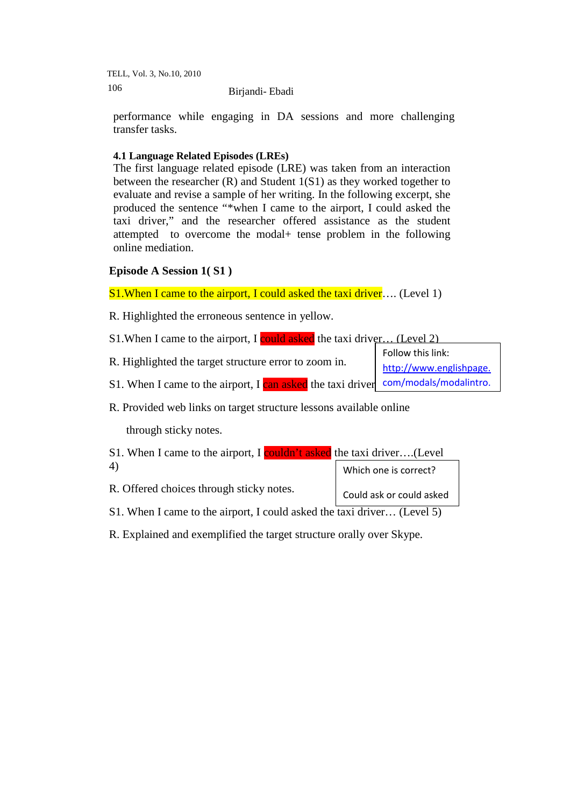performance while engaging in DA sessions and more challenging transfer tasks.

# **4.1 Language Related Episodes (LREs)**

The first language related episode (LRE) was taken from an interaction between the researcher (R) and Student 1(S1) as they worked together to evaluate and revise a sample of her writing. In the following excerpt, she produced the sentence "\*when I came to the airport, I could asked the taxi driver," and the researcher offered assistance as the student attempted to overcome the modal+ tense problem in the following online mediation.

# **Episode A Session 1( S1 )**

S1. When I came to the airport, I could asked the taxi driver.... (Level 1)

R. Highlighted the erroneous sentence in yellow.

S1. When I came to the airport, I could asked the taxi driver... (Level 2)

|                                                                                     | Follow this link:       |  |
|-------------------------------------------------------------------------------------|-------------------------|--|
| R. Highlighted the target structure error to zoom in.                               | http://www.englishpage. |  |
| S1. When I came to the airport, I can asked the taxi driver com/modals/modal intro. |                         |  |

R. Provided web links on target structure lessons available online

through sticky notes.

| S1. When I came to the airport, I couldn't asked the taxi driver(Level  |                          |  |  |
|-------------------------------------------------------------------------|--------------------------|--|--|
| 4)                                                                      | Which one is correct?    |  |  |
| R. Offered choices through sticky notes.                                | Could ask or could asked |  |  |
| S1. When I came to the airport, I could asked the taxi driver (Level 5) |                          |  |  |

R. Explained and exemplified the target structure orally over Skype.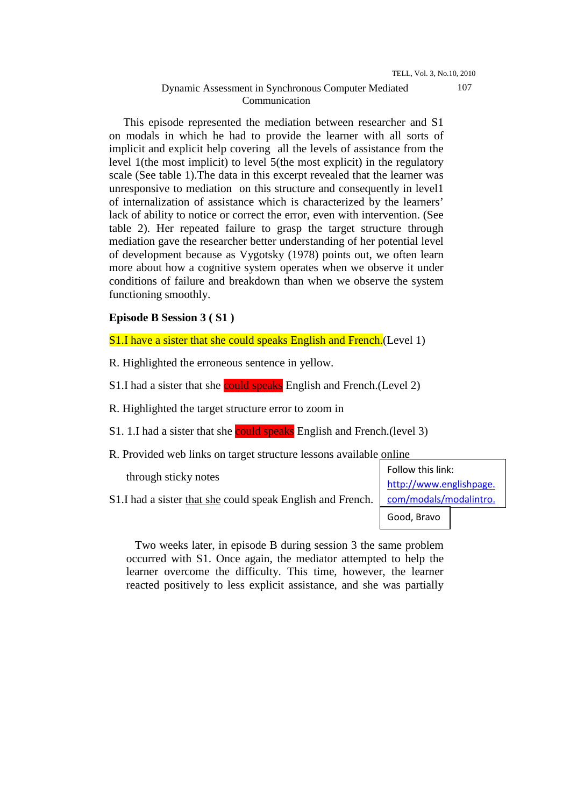## Dynamic Assessment in Synchronous Computer Mediated Communication

 This episode represented the mediation between researcher and S1 on modals in which he had to provide the learner with all sorts of implicit and explicit help covering all the levels of assistance from the level 1(the most implicit) to level 5(the most explicit) in the regulatory scale (See table 1).The data in this excerpt revealed that the learner was unresponsive to mediation on this structure and consequently in level1 of internalization of assistance which is characterized by the learners' lack of ability to notice or correct the error, even with intervention. (See table 2). Her repeated failure to grasp the target structure through mediation gave the researcher better understanding of her potential level of development because as Vygotsky (1978) points out, we often learn more about how a cognitive system operates when we observe it under conditions of failure and breakdown than when we observe the system functioning smoothly.

# **Episode B Session 3 ( S1 )**

S1.I have a sister that she could speaks English and French. (Level 1)

R. Highlighted the erroneous sentence in yellow.

S1.I had a sister that she could speaks English and French. (Level 2)

R. Highlighted the target structure error to zoom in

- S1. 1.I had a sister that she could speaks English and French.(level 3)
- R. Provided web links on target structure lessons available online

through sticky notes

S1.I had a sister that she could speak English and French.

Follow this link: http://www.englishpage. com/modals/modalintro.

Good, Bravo

 Two weeks later, in episode B during session 3 the same problem occurred with S1. Once again, the mediator attempted to help the learner overcome the difficulty. This time, however, the learner reacted positively to less explicit assistance, and she was partially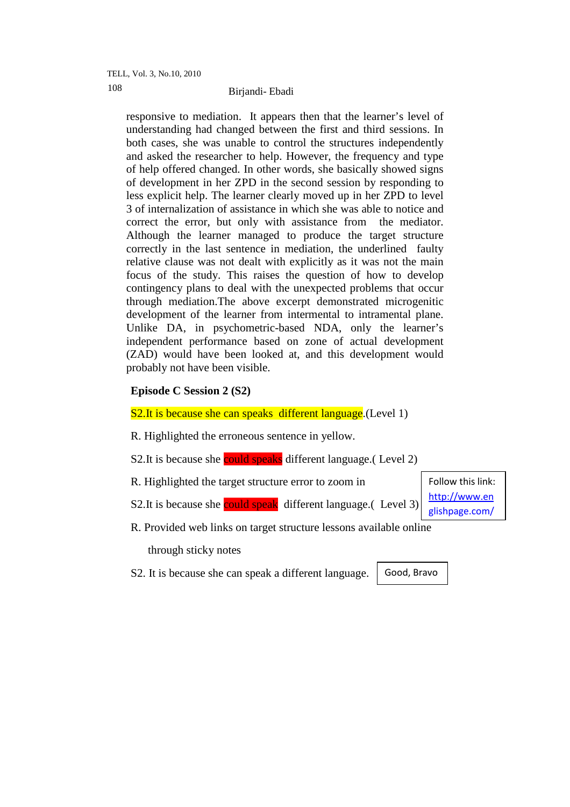responsive to mediation. It appears then that the learner's level of understanding had changed between the first and third sessions. In both cases, she was unable to control the structures independently and asked the researcher to help. However, the frequency and type of help offered changed. In other words, she basically showed signs of development in her ZPD in the second session by responding to less explicit help. The learner clearly moved up in her ZPD to level 3 of internalization of assistance in which she was able to notice and correct the error, but only with assistance from the mediator. Although the learner managed to produce the target structure correctly in the last sentence in mediation, the underlined faulty relative clause was not dealt with explicitly as it was not the main focus of the study. This raises the question of how to develop contingency plans to deal with the unexpected problems that occur through mediation.The above excerpt demonstrated microgenitic development of the learner from intermental to intramental plane. Unlike DA, in psychometric-based NDA, only the learner's independent performance based on zone of actual development (ZAD) would have been looked at, and this development would probably not have been visible.

# **Episode C Session 2 (S2)**

### S2. It is because she can speaks different language. (Level 1)

R. Highlighted the erroneous sentence in yellow.

S2. It is because she could speaks different language. (Level 2)

- R. Highlighted the target structure error to zoom in
- S2.It is because she could speak different language.( Level 3)

R. Provided web links on target structure lessons available online

through sticky notes

S2. It is because she can speak a different language.

Good, Bravo

Follow this link: http://www.en glishpage.com/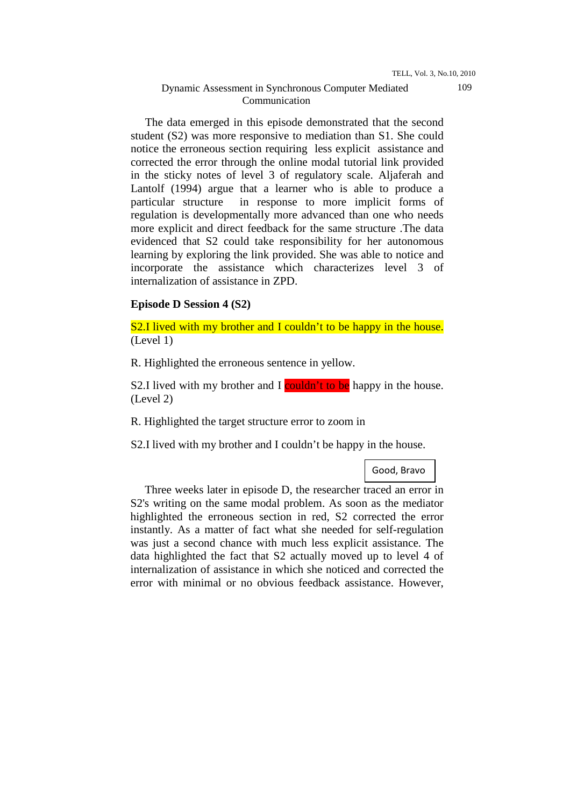## Dynamic Assessment in Synchronous Computer Mediated Communication

 The data emerged in this episode demonstrated that the second student (S2) was more responsive to mediation than S1. She could notice the erroneous section requiring less explicit assistance and corrected the error through the online modal tutorial link provided in the sticky notes of level 3 of regulatory scale. Aljaferah and Lantolf (1994) argue that a learner who is able to produce a particular structure in response to more implicit forms of regulation is developmentally more advanced than one who needs more explicit and direct feedback for the same structure .The data evidenced that S2 could take responsibility for her autonomous learning by exploring the link provided. She was able to notice and incorporate the assistance which characterizes level 3 of internalization of assistance in ZPD.

### **Episode D Session 4 (S2)**

S2.I lived with my brother and I couldn't to be happy in the house. (Level 1)

R. Highlighted the erroneous sentence in yellow.

S2.I lived with my brother and I couldn't to be happy in the house. (Level 2)

R. Highlighted the target structure error to zoom in

S2.I lived with my brother and I couldn't be happy in the house.

Good, Bravo

 Three weeks later in episode D, the researcher traced an error in S2's writing on the same modal problem. As soon as the mediator highlighted the erroneous section in red, S2 corrected the error instantly. As a matter of fact what she needed for self-regulation was just a second chance with much less explicit assistance. The data highlighted the fact that S2 actually moved up to level 4 of internalization of assistance in which she noticed and corrected the error with minimal or no obvious feedback assistance. However,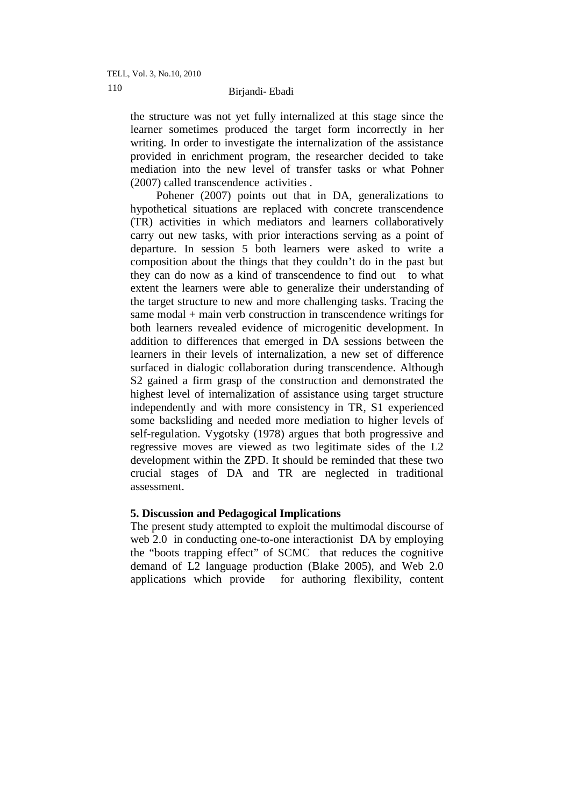# Birjandi- Ebadi 110

the structure was not yet fully internalized at this stage since the learner sometimes produced the target form incorrectly in her writing. In order to investigate the internalization of the assistance provided in enrichment program, the researcher decided to take mediation into the new level of transfer tasks or what Pohner (2007) called transcendence activities .

 Pohener (2007) points out that in DA, generalizations to hypothetical situations are replaced with concrete transcendence (TR) activities in which mediators and learners collaboratively carry out new tasks, with prior interactions serving as a point of departure. In session 5 both learners were asked to write a composition about the things that they couldn't do in the past but they can do now as a kind of transcendence to find out to what extent the learners were able to generalize their understanding of the target structure to new and more challenging tasks. Tracing the same modal + main verb construction in transcendence writings for both learners revealed evidence of microgenitic development. In addition to differences that emerged in DA sessions between the learners in their levels of internalization, a new set of difference surfaced in dialogic collaboration during transcendence. Although S2 gained a firm grasp of the construction and demonstrated the highest level of internalization of assistance using target structure independently and with more consistency in TR, S1 experienced some backsliding and needed more mediation to higher levels of self-regulation. Vygotsky (1978) argues that both progressive and regressive moves are viewed as two legitimate sides of the L2 development within the ZPD. It should be reminded that these two crucial stages of DA and TR are neglected in traditional assessment.

# **5. Discussion and Pedagogical Implications**

The present study attempted to exploit the multimodal discourse of web 2.0 in conducting one-to-one interactionist DA by employing the "boots trapping effect" of SCMC that reduces the cognitive demand of L2 language production (Blake 2005), and Web 2.0 applications which provide for authoring flexibility, content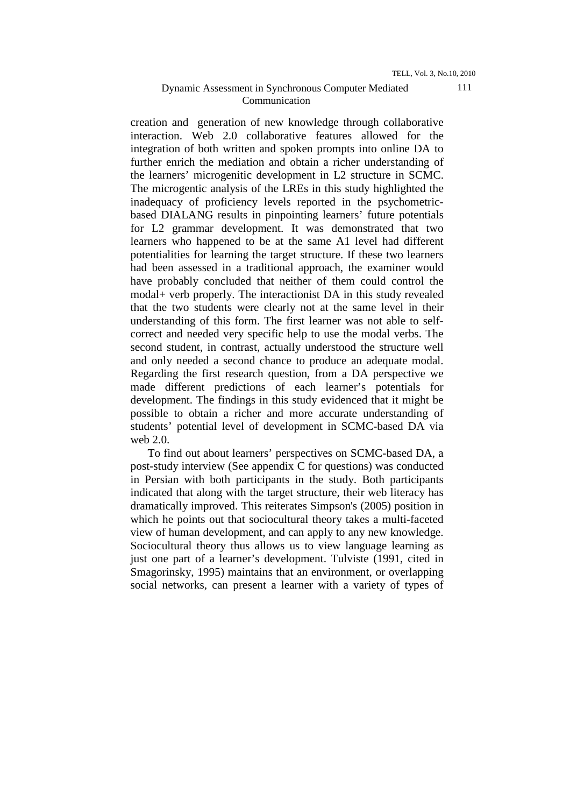creation and generation of new knowledge through collaborative interaction. Web 2.0 collaborative features allowed for the integration of both written and spoken prompts into online DA to further enrich the mediation and obtain a richer understanding of the learners' microgenitic development in L2 structure in SCMC. The microgentic analysis of the LREs in this study highlighted the inadequacy of proficiency levels reported in the psychometricbased DIALANG results in pinpointing learners' future potentials for L2 grammar development. It was demonstrated that two learners who happened to be at the same A1 level had different potentialities for learning the target structure. If these two learners had been assessed in a traditional approach, the examiner would have probably concluded that neither of them could control the modal+ verb properly. The interactionist DA in this study revealed that the two students were clearly not at the same level in their understanding of this form. The first learner was not able to selfcorrect and needed very specific help to use the modal verbs. The second student, in contrast, actually understood the structure well and only needed a second chance to produce an adequate modal. Regarding the first research question, from a DA perspective we made different predictions of each learner's potentials for development. The findings in this study evidenced that it might be possible to obtain a richer and more accurate understanding of students' potential level of development in SCMC-based DA via web 2.0.

 To find out about learners' perspectives on SCMC-based DA, a post-study interview (See appendix C for questions) was conducted in Persian with both participants in the study. Both participants indicated that along with the target structure, their web literacy has dramatically improved. This reiterates Simpson's (2005) position in which he points out that sociocultural theory takes a multi-faceted view of human development, and can apply to any new knowledge. Sociocultural theory thus allows us to view language learning as just one part of a learner's development. Tulviste (1991, cited in Smagorinsky, 1995) maintains that an environment, or overlapping social networks, can present a learner with a variety of types of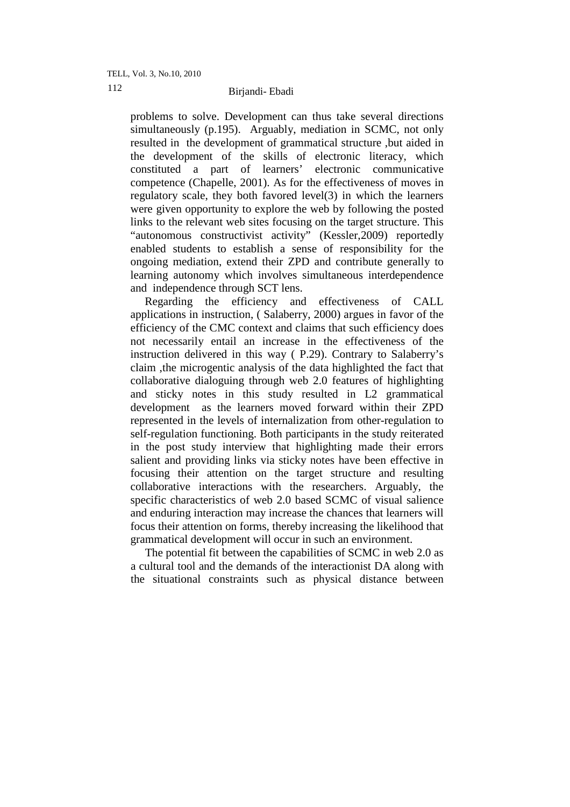# Birjandi- Ebadi 112

problems to solve. Development can thus take several directions simultaneously (p.195). Arguably, mediation in SCMC, not only resulted in the development of grammatical structure ,but aided in the development of the skills of electronic literacy, which constituted a part of learners' electronic communicative competence (Chapelle, 2001). As for the effectiveness of moves in regulatory scale, they both favored level(3) in which the learners were given opportunity to explore the web by following the posted links to the relevant web sites focusing on the target structure. This "autonomous constructivist activity" (Kessler,2009) reportedly enabled students to establish a sense of responsibility for the ongoing mediation, extend their ZPD and contribute generally to learning autonomy which involves simultaneous interdependence and independence through SCT lens.

 Regarding the efficiency and effectiveness of CALL applications in instruction, ( Salaberry, 2000) argues in favor of the efficiency of the CMC context and claims that such efficiency does not necessarily entail an increase in the effectiveness of the instruction delivered in this way ( P.29). Contrary to Salaberry's claim ,the microgentic analysis of the data highlighted the fact that collaborative dialoguing through web 2.0 features of highlighting and sticky notes in this study resulted in L2 grammatical development as the learners moved forward within their ZPD represented in the levels of internalization from other-regulation to self-regulation functioning. Both participants in the study reiterated in the post study interview that highlighting made their errors salient and providing links via sticky notes have been effective in focusing their attention on the target structure and resulting collaborative interactions with the researchers. Arguably, the specific characteristics of web 2.0 based SCMC of visual salience and enduring interaction may increase the chances that learners will focus their attention on forms, thereby increasing the likelihood that grammatical development will occur in such an environment.

 The potential fit between the capabilities of SCMC in web 2.0 as a cultural tool and the demands of the interactionist DA along with the situational constraints such as physical distance between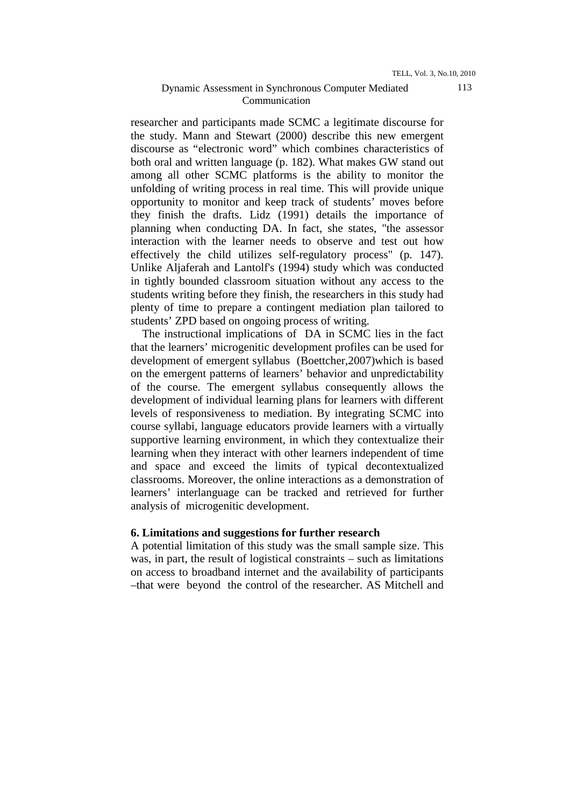researcher and participants made SCMC a legitimate discourse for the study. Mann and Stewart (2000) describe this new emergent discourse as "electronic word" which combines characteristics of both oral and written language (p. 182). What makes GW stand out among all other SCMC platforms is the ability to monitor the unfolding of writing process in real time. This will provide unique opportunity to monitor and keep track of students' moves before they finish the drafts. Lidz (1991) details the importance of planning when conducting DA. In fact, she states, "the assessor interaction with the learner needs to observe and test out how effectively the child utilizes self-regulatory process" (p. 147). Unlike Aljaferah and Lantolf's (1994) study which was conducted in tightly bounded classroom situation without any access to the students writing before they finish, the researchers in this study had plenty of time to prepare a contingent mediation plan tailored to students' ZPD based on ongoing process of writing.

 The instructional implications of DA in SCMC lies in the fact that the learners' microgenitic development profiles can be used for development of emergent syllabus (Boettcher,2007)which is based on the emergent patterns of learners' behavior and unpredictability of the course. The emergent syllabus consequently allows the development of individual learning plans for learners with different levels of responsiveness to mediation. By integrating SCMC into course syllabi, language educators provide learners with a virtually supportive learning environment, in which they contextualize their learning when they interact with other learners independent of time and space and exceed the limits of typical decontextualized classrooms. Moreover, the online interactions as a demonstration of learners' interlanguage can be tracked and retrieved for further analysis of microgenitic development.

### **6. Limitations and suggestions for further research**

A potential limitation of this study was the small sample size. This was, in part, the result of logistical constraints – such as limitations on access to broadband internet and the availability of participants –that were beyond the control of the researcher. AS Mitchell and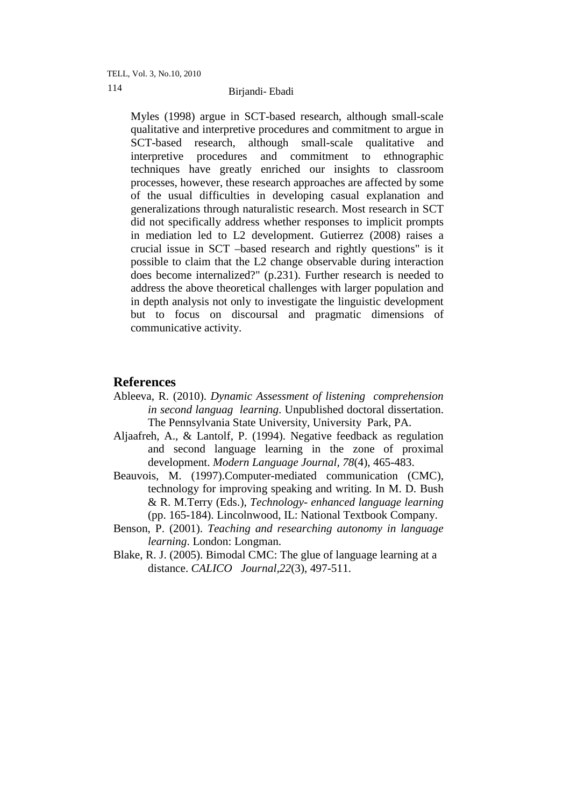TELL, Vol. 3, No.10, 2010

# Birjandi- Ebadi 114

Myles (1998) argue in SCT-based research, although small-scale qualitative and interpretive procedures and commitment to argue in SCT-based research, although small-scale qualitative and interpretive procedures and commitment to ethnographic techniques have greatly enriched our insights to classroom processes, however, these research approaches are affected by some of the usual difficulties in developing casual explanation and generalizations through naturalistic research. Most research in SCT did not specifically address whether responses to implicit prompts in mediation led to L2 development. Gutierrez (2008) raises a crucial issue in SCT –based research and rightly questions" is it possible to claim that the L2 change observable during interaction does become internalized?" (p.231). Further research is needed to address the above theoretical challenges with larger population and in depth analysis not only to investigate the linguistic development but to focus on discoursal and pragmatic dimensions of communicative activity.

# **References**

- Ableeva, R. (2010). *Dynamic Assessment of listening comprehension in second languag learning*. Unpublished doctoral dissertation. The Pennsylvania State University, University Park, PA.
- Aljaafreh, A., & Lantolf, P. (1994). Negative feedback as regulation and second language learning in the zone of proximal development. *Modern Language Journal, 78*(4), 465-483.
- Beauvois, M. (1997).Computer-mediated communication (CMC), technology for improving speaking and writing. In M. D. Bush & R. M.Terry (Eds.), *Technology- enhanced language learning*  (pp. 165-184). Lincolnwood, IL: National Textbook Company.
- Benson, P. (2001). *Teaching and researching autonomy in language learning*. London: Longman.
- Blake, R. J. (2005). Bimodal CMC: The glue of language learning at a distance. *CALICO Journal,22*(3), 497-511.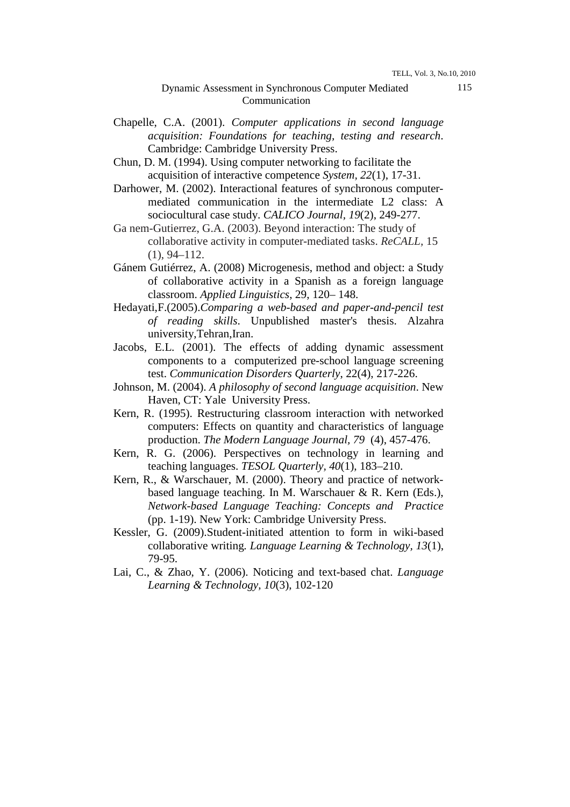### Dynamic Assessment in Synchronous Computer Mediated Communication

- Chapelle, C.A. (2001). *Computer applications in second language acquisition: Foundations for teaching, testing and research*. Cambridge: Cambridge University Press.
- Chun, D. M. (1994). Using computer networking to facilitate the acquisition of interactive competence *System, 22*(1), 17-31.
- Darhower, M. (2002). Interactional features of synchronous computermediated communication in the intermediate L2 class: A sociocultural case study. *CALICO Journal, 19*(2), 249-277.
- Ga nem-Gutierrez, G.A. (2003). Beyond interaction: The study of collaborative activity in computer-mediated tasks. *ReCALL,* 15 (1), 94–112.
- Gánem Gutiérrez, A. (2008) Microgenesis, method and object: a Study of collaborative activity in a Spanish as a foreign language classroom. *Applied Linguistics*, 29, 120– 148.
- Hedayati,F.(2005).*Comparing a web-based and paper-and-pencil test of reading skills*. Unpublished master's thesis. Alzahra university,Tehran,Iran.
- Jacobs, E.L. (2001). The effects of adding dynamic assessment components to a computerized pre-school language screening test. *Communication Disorders Quarterly*, 22(4), 217-226.
- Johnson, M. (2004). *A philosophy of second language acquisition*. New Haven, CT: Yale University Press.
- Kern, R. (1995). Restructuring classroom interaction with networked computers: Effects on quantity and characteristics of language production. *The Modern Language Journal, 79* (4), 457-476.
- Kern, R. G. (2006). Perspectives on technology in learning and teaching languages. *TESOL Quarterly, 40*(1), 183–210.
- Kern, R., & Warschauer, M. (2000). Theory and practice of networkbased language teaching. In M. Warschauer & R. Kern (Eds.), *Network-based Language Teaching: Concepts and Practice*  (pp. 1-19). New York: Cambridge University Press.
- Kessler, G. (2009).Student-initiated attention to form in wiki-based collaborative writing*. Language Learning & Technology, 13*(1), 79-95.
- Lai, C., & Zhao, Y. (2006). Noticing and text-based chat. *Language Learning & Technology, 10*(3), 102-120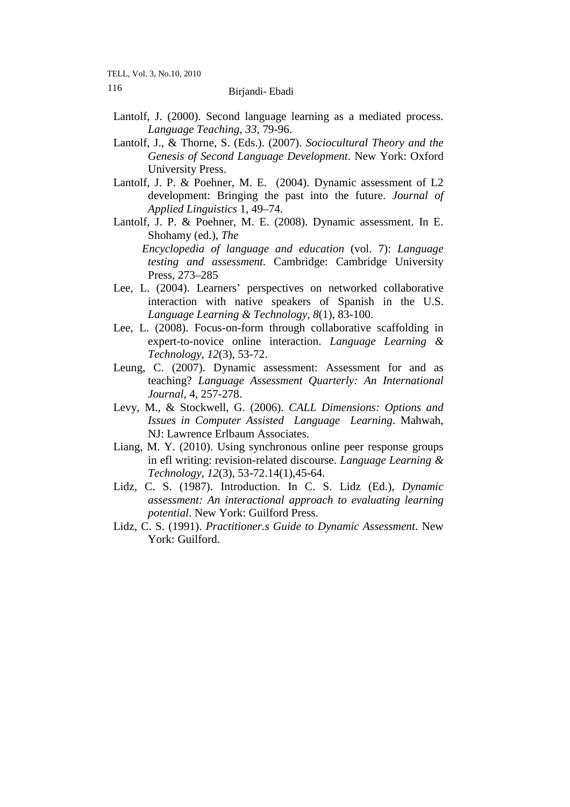TELL, Vol. 3, No.10, 2010

# Birjandi- Ebadi 116

- Lantolf, J. (2000). Second language learning as a mediated process. *Language Teaching, 33*, 79-96.
- Lantolf, J., & Thorne, S. (Eds.). (2007). *Sociocultural Theory and the Genesis of Second Language Development*. New York: Oxford University Press.
- Lantolf, J. P. & Poehner, M. E. (2004). Dynamic assessment of L2 development: Bringing the past into the future. *Journal of Applied Linguistics* 1, 49–74.
- Lantolf, J. P. & Poehner, M. E. (2008). Dynamic assessment. In E. Shohamy (ed.), *The Encyclopedia of language and education* (vol. 7): *Language testing and assessment*. Cambridge: Cambridge University Press, 273–285
- Lee, L. (2004). Learners' perspectives on networked collaborative interaction with native speakers of Spanish in the U.S. *Language Learning & Technology, 8*(1), 83-100.
- Lee, L. (2008). Focus-on-form through collaborative scaffolding in expert-to-novice online interaction. *Language Learning & Technology, 12*(3), 53-72.
- Leung, C. (2007). Dynamic assessment: Assessment for and as teaching? *Language Assessment Quarterly: An International Journal*, 4, 257-278.
- Levy, M., & Stockwell, G. (2006). *CALL Dimensions: Options and Issues in Computer Assisted Language Learning*. Mahwah, NJ: Lawrence Erlbaum Associates.
- Liang, M. Y. (2010). Using synchronous online peer response groups in efl writing: revision-related discourse. *Language Learning & Technology, 12*(3), 53-72.14(1),45-64.
- Lidz, C. S. (1987). Introduction. In C. S. Lidz (Ed.), *Dynamic assessment: An interactional approach to evaluating learning potential*. New York: Guilford Press.
- Lidz, C. S. (1991). *Practitioner.s Guide to Dynamic Assessment*. New York: Guilford.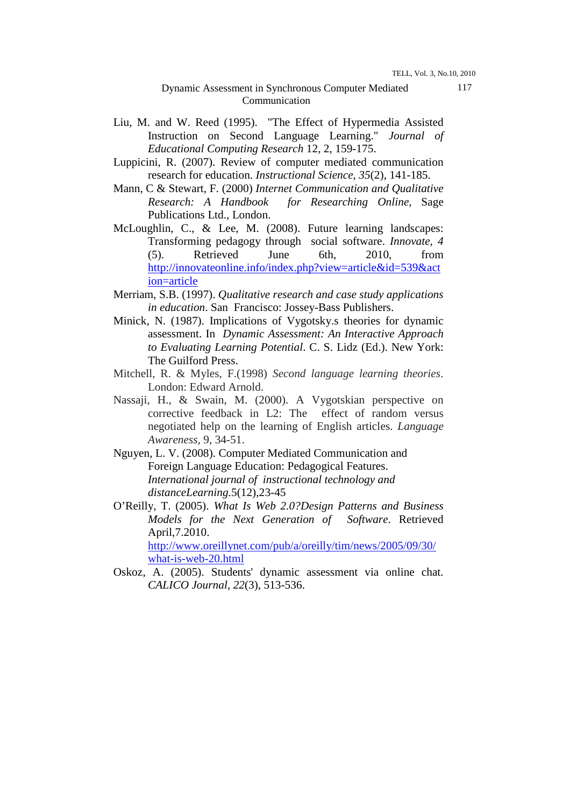### Dynamic Assessment in Synchronous Computer Mediated Communication

- Liu, M. and W. Reed (1995). "The Effect of Hypermedia Assisted Instruction on Second Language Learning." *Journal of Educational Computing Research* 12, 2, 159-175.
- Luppicini, R. (2007). Review of computer mediated communication research for education. *Instructional Science, 35*(2), 141-185.
- Mann, C & Stewart, F. (2000) *Internet Communication and Qualitative Research: A Handbook for Researching Online,* Sage Publications Ltd., London.
- McLoughlin, C., & Lee, M. (2008). Future learning landscapes: Transforming pedagogy through social software. *Innovate, 4* (5). Retrieved June 6th, 2010, from http://innovateonline.info/index.php?view=article&id=539&act ion=article
- Merriam, S.B. (1997). *Qualitative research and case study applications in education*. San Francisco: Jossey-Bass Publishers.
- Minick, N. (1987). Implications of Vygotsky.s theories for dynamic assessment. In *Dynamic Assessment: An Interactive Approach to Evaluating Learning Potential*. C. S. Lidz (Ed.). New York: The Guilford Press.
- Mitchell, R. & Myles, F.(1998) *Second language learning theories*. London: Edward Arnold.
- Nassaji, H., & Swain, M. (2000). A Vygotskian perspective on corrective feedback in L2: The effect of random versus negotiated help on the learning of English articles. *Language Awareness,* 9, 34-51.
- Nguyen, L. V. (2008). Computer Mediated Communication and Foreign Language Education: Pedagogical Features. *International journal of instructional technology and distanceLearning.*5(12),23-45
- O'Reilly, T. (2005). *What Is Web 2.0?Design Patterns and Business Models for the Next Generation of Software*. Retrieved April,7.2010.

http://www.oreillynet.com/pub/a/oreilly/tim/news/2005/09/30/ what-is-web-20.html

Oskoz, A. (2005). Students' dynamic assessment via online chat. *CALICO Journal, 22*(3), 513-536.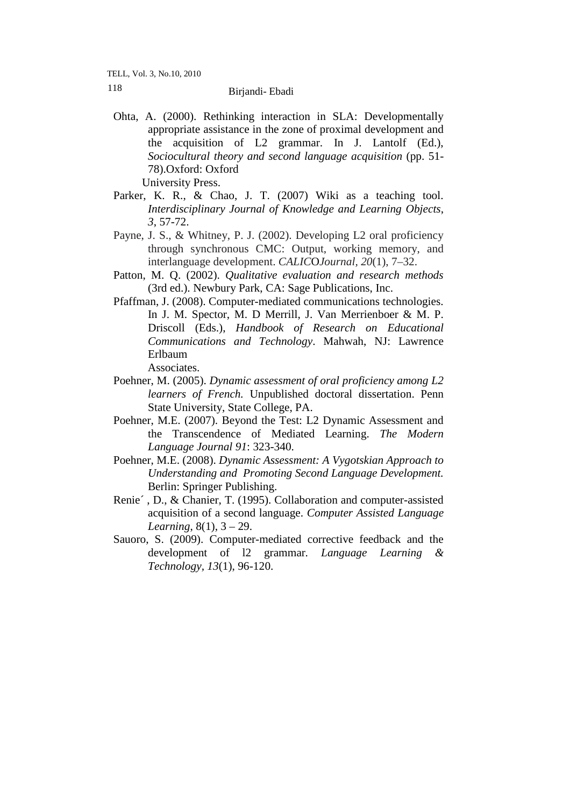TELL, Vol. 3, No.10, 2010

# Birjandi- Ebadi 118

- Ohta, A. (2000). Rethinking interaction in SLA: Developmentally appropriate assistance in the zone of proximal development and the acquisition of L2 grammar. In J. Lantolf (Ed.), *Sociocultural theory and second language acquisition* (pp. 51- 78).Oxford: Oxford University Press.
- Parker, K. R., & Chao, J. T. (2007) Wiki as a teaching tool. *Interdisciplinary Journal of Knowledge and Learning Objects*, *3*, 57-72.
- Payne, J. S., & Whitney, P. J. (2002). Developing L2 oral proficiency through synchronous CMC: Output, working memory, and interlanguage development. *CALIC*O*Journal, 20*(1), 7–32.
- Patton, M. Q. (2002). *Qualitative evaluation and research methods*  (3rd ed.). Newbury Park, CA: Sage Publications, Inc.
- Pfaffman, J. (2008). Computer-mediated communications technologies. In J. M. Spector, M. D Merrill, J. Van Merrienboer & M. P. Driscoll (Eds.), *Handbook of Research on Educational Communications and Technology*. Mahwah, NJ: Lawrence Erlbaum

Associates.

- Poehner, M. (2005). *Dynamic assessment of oral proficiency among L2 learners of French.* Unpublished doctoral dissertation. Penn State University, State College, PA.
- Poehner, M.E. (2007). Beyond the Test: L2 Dynamic Assessment and the Transcendence of Mediated Learning. *The Modern Language Journal 91*: 323-340.
- Poehner, M.E. (2008). *Dynamic Assessment: A Vygotskian Approach to Understanding and Promoting Second Language Development.*  Berlin: Springer Publishing.
- Renie´ , D., & Chanier, T. (1995). Collaboration and computer-assisted acquisition of a second language. *Computer Assisted Language Learning*, 8(1), 3 – 29.
- Sauoro, S. (2009). Computer-mediated corrective feedback and the development of l2 grammar*. Language Learning & Technology, 13*(1), 96-120.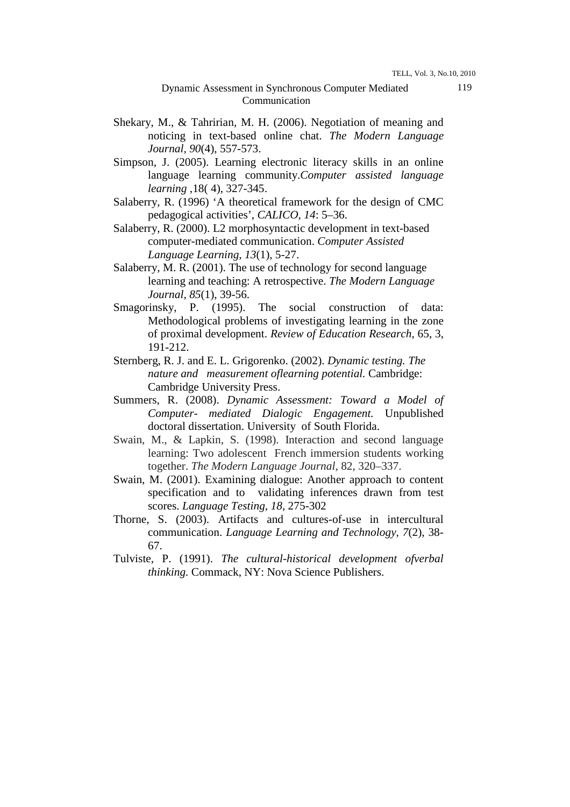### Dynamic Assessment in Synchronous Computer Mediated Communication

- Shekary, M., & Tahririan, M. H. (2006). Negotiation of meaning and noticing in text-based online chat. *The Modern Language Journal, 90*(4), 557-573.
- Simpson, J. (2005). Learning electronic literacy skills in an online language learning community.*Computer assisted language learning* ,18( 4), 327-345.
- Salaberry, R. (1996) 'A theoretical framework for the design of CMC pedagogical activities', *CALICO, 14*: 5–36.
- Salaberry, R. (2000). L2 morphosyntactic development in text-based computer-mediated communication. *Computer Assisted Language Learning, 13*(1), 5-27.
- Salaberry, M. R. (2001). The use of technology for second language learning and teaching: A retrospective. *The Modern Language Journal, 85*(1), 39-56.
- Smagorinsky, P. (1995). The social construction of data: Methodological problems of investigating learning in the zone of proximal development. *Review of Education Research*, 65, 3, 191-212.
- Sternberg, R. J. and E. L. Grigorenko. (2002). *Dynamic testing. The nature and measurement oflearning potential.* Cambridge: Cambridge University Press.
- Summers, R. (2008). *Dynamic Assessment: Toward a Model of Computer- mediated Dialogic Engagement.* Unpublished doctoral dissertation. University of South Florida.
- Swain, M., & Lapkin, S. (1998). Interaction and second language learning: Two adolescent French immersion students working together. *The Modern Language Journal,* 82, 320–337.
- Swain, M. (2001). Examining dialogue: Another approach to content specification and to validating inferences drawn from test scores. *Language Testing, 18*, 275-302
- Thorne, S. (2003). Artifacts and cultures-of-use in intercultural communication. *Language Learning and Technology, 7*(2), 38- 67.
- Tulviste, P. (1991). *The cultural-historical development ofverbal thinking.* Commack, NY: Nova Science Publishers.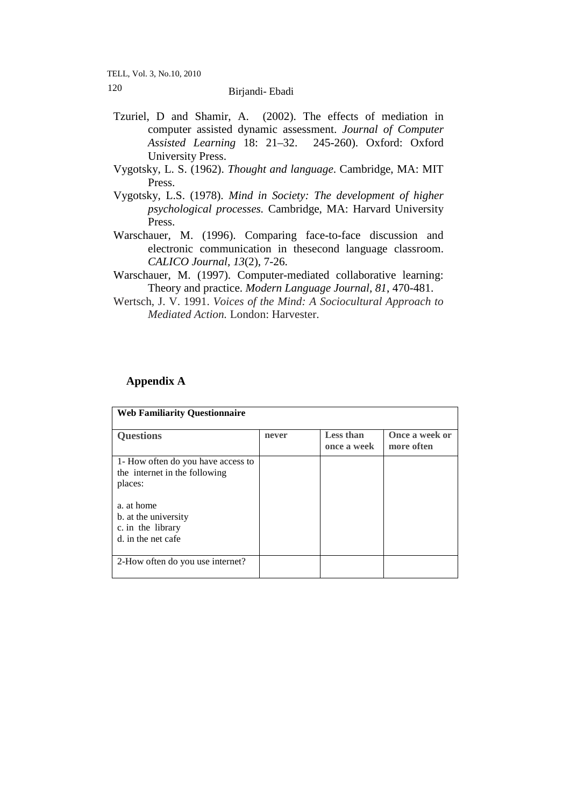TELL, Vol. 3, No.10, 2010

# Birjandi- Ebadi 120

- Tzuriel, D and Shamir, A. (2002). The effects of mediation in computer assisted dynamic assessment. *Journal of Computer Assisted Learning* 18: 21–32. 245-260). Oxford: Oxford University Press.
- Vygotsky, L. S. (1962). *Thought and language*. Cambridge, MA: MIT Press.
- Vygotsky, L.S. (1978). *Mind in Society: The development of higher psychological processes.* Cambridge, MA: Harvard University Press.
- Warschauer, M. (1996). Comparing face-to-face discussion and electronic communication in thesecond language classroom. *CALICO Journal, 13*(2), 7-26.
- Warschauer, M. (1997). Computer-mediated collaborative learning: Theory and practice. *Modern Language Journal, 81*, 470-481.
- Wertsch, J. V. 1991. *Voices of the Mind: A Sociocultural Approach to Mediated Action.* London: Harvester.

# **Appendix A**

| <b>Web Familiarity Questionnaire</b>                                                                                                                            |       |                                 |                              |  |  |
|-----------------------------------------------------------------------------------------------------------------------------------------------------------------|-------|---------------------------------|------------------------------|--|--|
| <b>Questions</b>                                                                                                                                                | never | <b>Less than</b><br>once a week | Once a week or<br>more often |  |  |
| 1- How often do you have access to<br>the internet in the following<br>places:<br>a. at home<br>b. at the university<br>c. in the library<br>d, in the net cafe |       |                                 |                              |  |  |
| 2-How often do you use internet?                                                                                                                                |       |                                 |                              |  |  |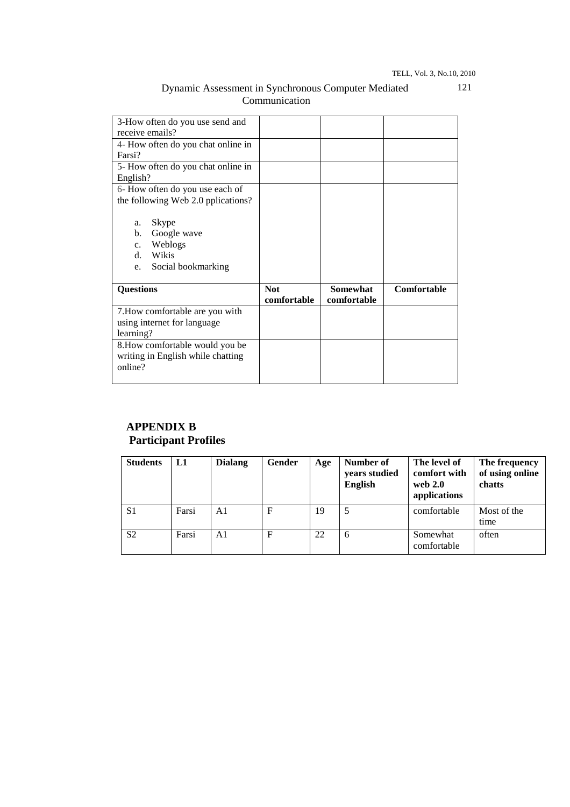TELL, Vol. 3, No.10, 2010

121

| 3-How often do you use send and                                                                                        |                           |                                |             |
|------------------------------------------------------------------------------------------------------------------------|---------------------------|--------------------------------|-------------|
| receive emails?                                                                                                        |                           |                                |             |
| 4- How often do you chat online in                                                                                     |                           |                                |             |
| Farsi?                                                                                                                 |                           |                                |             |
| 5- How often do you chat online in                                                                                     |                           |                                |             |
| English?                                                                                                               |                           |                                |             |
| 6- How often do you use each of                                                                                        |                           |                                |             |
| the following Web 2.0 pplications?                                                                                     |                           |                                |             |
| Skype<br>a.<br>$\mathbf{b}$ .<br>Google wave<br>Weblogs<br>$c_{\cdot}$<br>Wikis<br>$d_{-}$<br>Social bookmarking<br>e. |                           |                                |             |
| <b>Questions</b>                                                                                                       | <b>Not</b><br>comfortable | <b>Somewhat</b><br>comfortable | Comfortable |
| 7. How comfortable are you with                                                                                        |                           |                                |             |
| using internet for language                                                                                            |                           |                                |             |
| learning?                                                                                                              |                           |                                |             |
| 8. How comfortable would you be                                                                                        |                           |                                |             |
| writing in English while chatting                                                                                      |                           |                                |             |
| online?                                                                                                                |                           |                                |             |
|                                                                                                                        |                           |                                |             |

### Dynamic Assessment in Synchronous Computer Mediated Communication

# **APPENDIX B Participant Profiles**

| <b>Students</b> | L1    | <b>Dialang</b> | Gender | Age | Number of<br>years studied<br><b>English</b> | The level of<br>comfort with<br>web $2.0$<br>applications | The frequency<br>of using online<br>chatts |
|-----------------|-------|----------------|--------|-----|----------------------------------------------|-----------------------------------------------------------|--------------------------------------------|
| S <sub>1</sub>  | Farsi | A1             | F      | 19  |                                              | comfortable                                               | Most of the<br>time                        |
| S <sub>2</sub>  | Farsi | A1             | F      | 22  | 6                                            | Somewhat<br>comfortable                                   | often                                      |